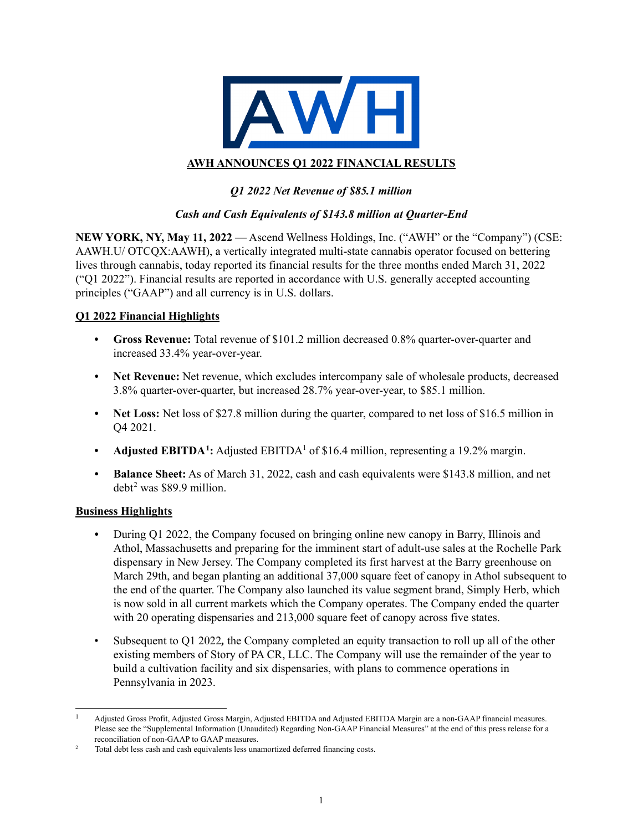

## **AWH ANNOUNCES Q1 2022 FINANCIAL RESULTS**

## *Q1 2022 Net Revenue of \$85.1 million*

## *Cash and Cash Equivalents of \$143.8 million at Quarter-End*

**NEW YORK, NY, May 11, 2022** — Ascend Wellness Holdings, Inc. ("AWH" or the "Company") (CSE: AAWH.U/ OTCQX:AAWH), a vertically integrated multi-state cannabis operator focused on bettering lives through cannabis, today reported its financial results for the three months ended March 31, 2022 ("Q1 2022"). Financial results are reported in accordance with U.S. generally accepted accounting principles ("GAAP") and all currency is in U.S. dollars.

### **Q1 2022 Financial Highlights**

- **• Gross Revenue:** Total revenue of \$101.2 million decreased 0.8% quarter-over-quarter and increased 33.4% year-over-year.
- **Net Revenue:** Net revenue, which excludes intercompany sale of wholesale products, decreased 3.8% quarter-over-quarter, but increased 28.7% year-over-year, to \$85.1 million.
- **Net Loss:** Net loss of \$27.8 million during the quarter, compared to net loss of \$16.5 million in Q4 2021.
- Adjusted EBITDA<sup>1</sup>: Adjusted EBITDA<sup>1</sup> of \$16.4 million, representing a 19.2% margin.
- *•* **Balance Sheet:** As of March 31, 2022, cash and cash equivalents were \$143.8 million, and net debt[2](#page-0-1) was \$89.9 million.

### **Business Highlights**

- During Q1 2022, the Company focused on bringing online new canopy in Barry, Illinois and Athol, Massachusetts and preparing for the imminent start of adult-use sales at the Rochelle Park dispensary in New Jersey. The Company completed its first harvest at the Barry greenhouse on March 29th, and began planting an additional 37,000 square feet of canopy in Athol subsequent to the end of the quarter. The Company also launched its value segment brand, Simply Herb, which is now sold in all current markets which the Company operates. The Company ended the quarter with 20 operating dispensaries and 213,000 square feet of canopy across five states.
- Subsequent to Q1 2022*,* the Company completed an equity transaction to roll up all of the other existing members of Story of PA CR, LLC. The Company will use the remainder of the year to build a cultivation facility and six dispensaries, with plans to commence operations in Pennsylvania in 2023.

<span id="page-0-0"></span><sup>1</sup> Adjusted Gross Profit, Adjusted Gross Margin, Adjusted EBITDA and Adjusted EBITDA Margin are a non-GAAP financial measures. Please see the "Supplemental Information (Unaudited) Regarding Non-GAAP Financial Measures" at the end of this press release for a

<span id="page-0-1"></span>reconciliation of non-GAAP to GAAP measures.<br><sup>2</sup> Total debt less cash and cash equivalents less unamortized deferred financing costs.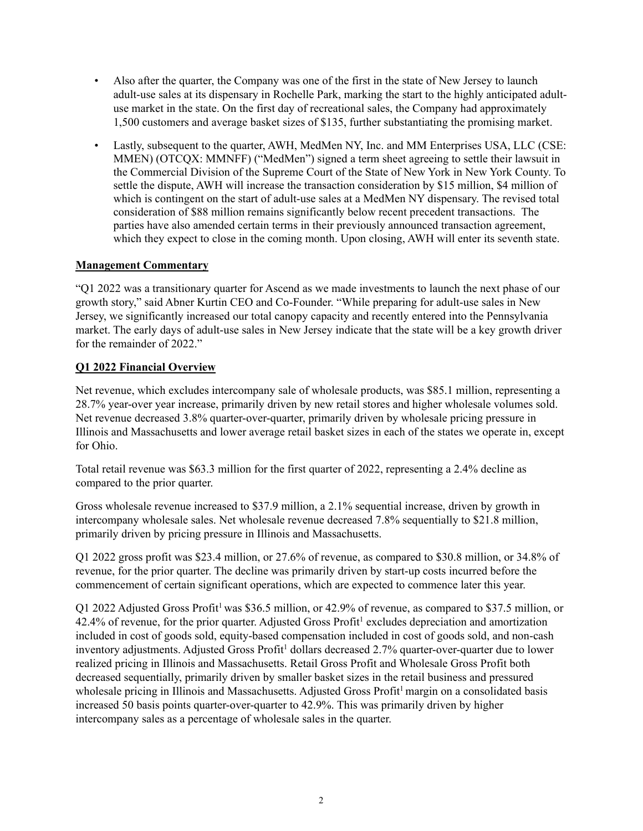- Also after the quarter, the Company was one of the first in the state of New Jersey to launch adult-use sales at its dispensary in Rochelle Park, marking the start to the highly anticipated adultuse market in the state. On the first day of recreational sales, the Company had approximately 1,500 customers and average basket sizes of \$135, further substantiating the promising market.
- Lastly, subsequent to the quarter, AWH, MedMen NY, Inc. and MM Enterprises USA, LLC (CSE: MMEN) (OTCQX: MMNFF) ("MedMen") signed a term sheet agreeing to settle their lawsuit in the Commercial Division of the Supreme Court of the State of New York in New York County. To settle the dispute, AWH will increase the transaction consideration by \$15 million, \$4 million of which is contingent on the start of adult-use sales at a MedMen NY dispensary. The revised total consideration of \$88 million remains significantly below recent precedent transactions. The parties have also amended certain terms in their previously announced transaction agreement, which they expect to close in the coming month. Upon closing, AWH will enter its seventh state.

## **Management Commentary**

"Q1 2022 was a transitionary quarter for Ascend as we made investments to launch the next phase of our growth story," said Abner Kurtin CEO and Co-Founder. "While preparing for adult-use sales in New Jersey, we significantly increased our total canopy capacity and recently entered into the Pennsylvania market. The early days of adult-use sales in New Jersey indicate that the state will be a key growth driver for the remainder of 2022."

## **Q1 2022 Financial Overview**

Net revenue, which excludes intercompany sale of wholesale products, was \$85.1 million, representing a 28.7% year-over year increase, primarily driven by new retail stores and higher wholesale volumes sold. Net revenue decreased 3.8% quarter-over-quarter, primarily driven by wholesale pricing pressure in Illinois and Massachusetts and lower average retail basket sizes in each of the states we operate in, except for Ohio.

Total retail revenue was \$63.3 million for the first quarter of 2022, representing a 2.4% decline as compared to the prior quarter.

Gross wholesale revenue increased to \$37.9 million, a 2.1% sequential increase, driven by growth in intercompany wholesale sales. Net wholesale revenue decreased 7.8% sequentially to \$21.8 million, primarily driven by pricing pressure in Illinois and Massachusetts.

Q1 2022 gross profit was \$23.4 million, or 27.6% of revenue, as compared to \$30.8 million, or 34.8% of revenue, for the prior quarter. The decline was primarily driven by start-up costs incurred before the commencement of certain significant operations, which are expected to commence later this year.

Q1 2022 Adjusted Gross Profit<sup>1</sup> was \$36.5 million, or 42.9% of revenue, as compared to \$37.5 million, or  $42.4\%$  of revenue, for the prior quarter. Adjusted Gross Profit<sup>1</sup> excludes depreciation and amortization included in cost of goods sold, equity-based compensation included in cost of goods sold, and non-cash inventory adjustments. Adjusted Gross Profit<sup>1</sup> dollars decreased 2.7% quarter-over-quarter due to lower realized pricing in Illinois and Massachusetts. Retail Gross Profit and Wholesale Gross Profit both decreased sequentially, primarily driven by smaller basket sizes in the retail business and pressured wholesale pricing in Illinois and Massachusetts. Adjusted Gross Profit<sup>1</sup> margin on a consolidated basis increased 50 basis points quarter-over-quarter to 42.9%. This was primarily driven by higher intercompany sales as a percentage of wholesale sales in the quarter.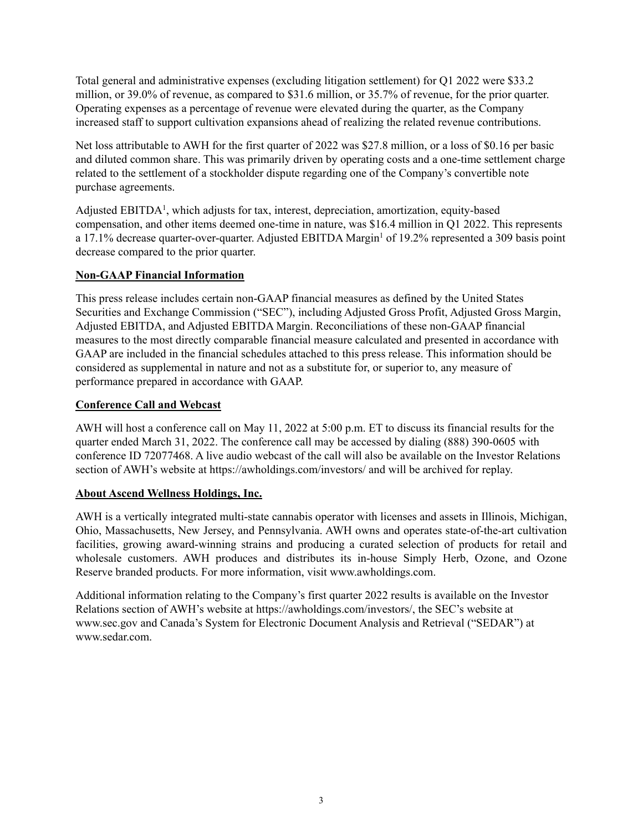Total general and administrative expenses (excluding litigation settlement) for Q1 2022 were \$33.2 million, or 39.0% of revenue, as compared to \$31.6 million, or 35.7% of revenue, for the prior quarter. Operating expenses as a percentage of revenue were elevated during the quarter, as the Company increased staff to support cultivation expansions ahead of realizing the related revenue contributions.

Net loss attributable to AWH for the first quarter of 2022 was \$27.8 million, or a loss of \$0.16 per basic and diluted common share. This was primarily driven by operating costs and a one-time settlement charge related to the settlement of a stockholder dispute regarding one of the Company's convertible note purchase agreements.

Adjusted EBITDA<sup>1</sup>, which adjusts for tax, interest, depreciation, amortization, equity-based compensation, and other items deemed one-time in nature, was \$16.4 million in Q1 2022. This represents a 17.1% decrease quarter-over-quarter. Adjusted EBITDA Margin<sup>1</sup> of 19.2% represented a 309 basis point decrease compared to the prior quarter.

### **Non-GAAP Financial Information**

This press release includes certain non-GAAP financial measures as defined by the United States Securities and Exchange Commission ("SEC"), including Adjusted Gross Profit, Adjusted Gross Margin, Adjusted EBITDA, and Adjusted EBITDA Margin. Reconciliations of these non-GAAP financial measures to the most directly comparable financial measure calculated and presented in accordance with GAAP are included in the financial schedules attached to this press release. This information should be considered as supplemental in nature and not as a substitute for, or superior to, any measure of performance prepared in accordance with GAAP.

### **Conference Call and Webcast**

AWH will host a conference call on May 11, 2022 at 5:00 p.m. ET to discuss its financial results for the quarter ended March 31, 2022. The conference call may be accessed by dialing (888) 390-0605 with conference ID 72077468. A live audio webcast of the call will also be available on the Investor Relations section of AWH's website at https://awholdings.com/investors/ and will be archived for replay.

## **About Ascend Wellness Holdings, Inc.**

AWH is a vertically integrated multi-state cannabis operator with licenses and assets in Illinois, Michigan, Ohio, Massachusetts, New Jersey, and Pennsylvania. AWH owns and operates state-of-the-art cultivation facilities, growing award-winning strains and producing a curated selection of products for retail and wholesale customers. AWH produces and distributes its in-house Simply Herb, Ozone, and Ozone Reserve branded products. For more information, visit www.awholdings.com.

Additional information relating to the Company's first quarter 2022 results is available on the Investor Relations section of AWH's website at https://awholdings.com/investors/, the SEC's website at www.sec.gov and Canada's System for Electronic Document Analysis and Retrieval ("SEDAR") at www.sedar.com.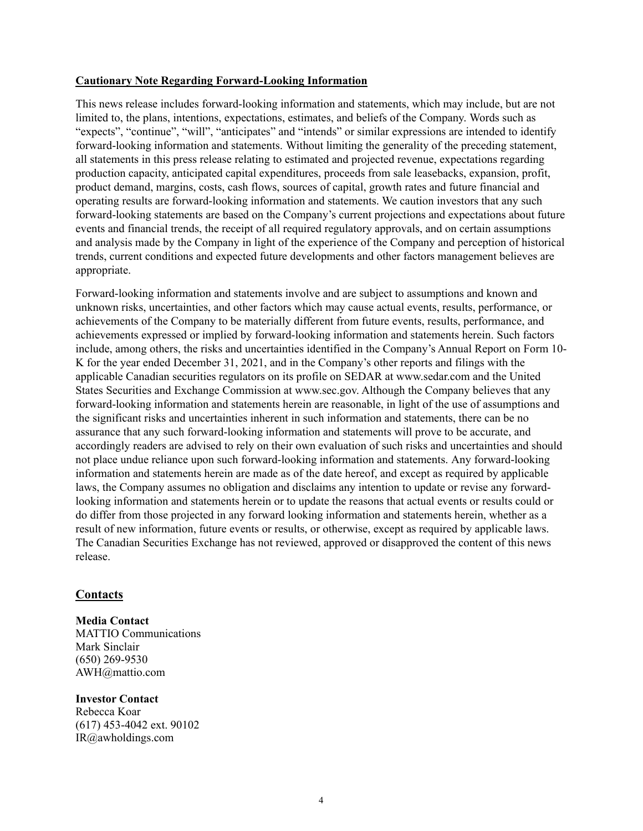### **Cautionary Note Regarding Forward-Looking Information**

This news release includes forward-looking information and statements, which may include, but are not limited to, the plans, intentions, expectations, estimates, and beliefs of the Company. Words such as "expects", "continue", "will", "anticipates" and "intends" or similar expressions are intended to identify forward-looking information and statements. Without limiting the generality of the preceding statement, all statements in this press release relating to estimated and projected revenue, expectations regarding production capacity, anticipated capital expenditures, proceeds from sale leasebacks, expansion, profit, product demand, margins, costs, cash flows, sources of capital, growth rates and future financial and operating results are forward-looking information and statements. We caution investors that any such forward-looking statements are based on the Company's current projections and expectations about future events and financial trends, the receipt of all required regulatory approvals, and on certain assumptions and analysis made by the Company in light of the experience of the Company and perception of historical trends, current conditions and expected future developments and other factors management believes are appropriate.

Forward-looking information and statements involve and are subject to assumptions and known and unknown risks, uncertainties, and other factors which may cause actual events, results, performance, or achievements of the Company to be materially different from future events, results, performance, and achievements expressed or implied by forward-looking information and statements herein. Such factors include, among others, the risks and uncertainties identified in the Company's Annual Report on Form 10- K for the year ended December 31, 2021, and in the Company's other reports and filings with the applicable Canadian securities regulators on its profile on SEDAR at www.sedar.com and the United States Securities and Exchange Commission at www.sec.gov. Although the Company believes that any forward-looking information and statements herein are reasonable, in light of the use of assumptions and the significant risks and uncertainties inherent in such information and statements, there can be no assurance that any such forward-looking information and statements will prove to be accurate, and accordingly readers are advised to rely on their own evaluation of such risks and uncertainties and should not place undue reliance upon such forward-looking information and statements. Any forward-looking information and statements herein are made as of the date hereof, and except as required by applicable laws, the Company assumes no obligation and disclaims any intention to update or revise any forwardlooking information and statements herein or to update the reasons that actual events or results could or do differ from those projected in any forward looking information and statements herein, whether as a result of new information, future events or results, or otherwise, except as required by applicable laws. The Canadian Securities Exchange has not reviewed, approved or disapproved the content of this news release.

## **Contacts**

**Media Contact** MATTIO Communications Mark Sinclair (650) 269-9530 AWH@mattio.com

**Investor Contact** Rebecca Koar (617) 453-4042 ext. 90102 IR@awholdings.com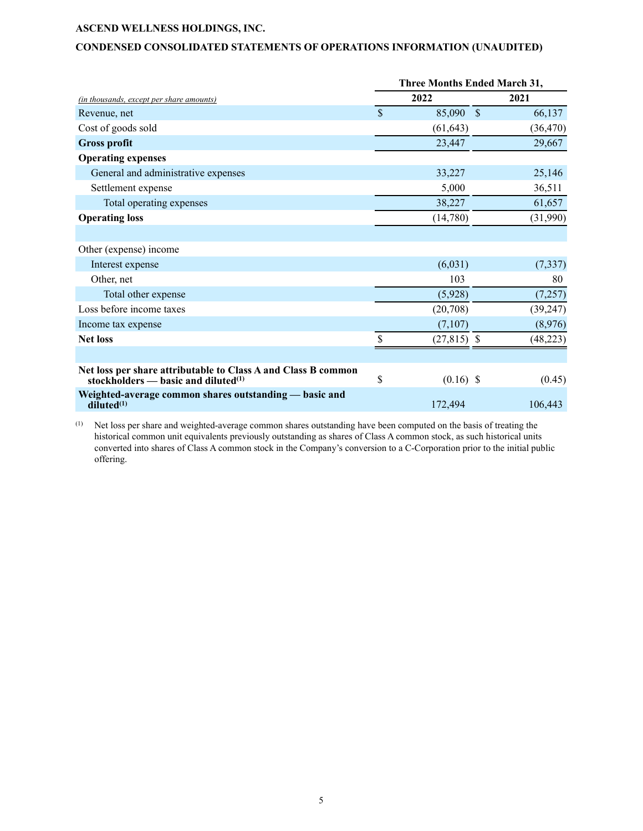### **CONDENSED CONSOLIDATED STATEMENTS OF OPERATIONS INFORMATION (UNAUDITED)**

|                                                                                                           | <b>Three Months Ended March 31,</b> |               |  |           |  |
|-----------------------------------------------------------------------------------------------------------|-------------------------------------|---------------|--|-----------|--|
| (in thousands, except per share amounts)                                                                  | 2022                                |               |  | 2021      |  |
| Revenue, net                                                                                              | $\mathbb{S}$                        | 85,090 \$     |  | 66,137    |  |
| Cost of goods sold                                                                                        |                                     | (61, 643)     |  | (36, 470) |  |
| <b>Gross profit</b>                                                                                       |                                     | 23,447        |  | 29,667    |  |
| <b>Operating expenses</b>                                                                                 |                                     |               |  |           |  |
| General and administrative expenses                                                                       |                                     | 33,227        |  | 25,146    |  |
| Settlement expense                                                                                        |                                     | 5,000         |  | 36,511    |  |
| Total operating expenses                                                                                  |                                     | 38,227        |  | 61,657    |  |
| <b>Operating loss</b>                                                                                     |                                     | (14,780)      |  | (31,990)  |  |
|                                                                                                           |                                     |               |  |           |  |
| Other (expense) income                                                                                    |                                     |               |  |           |  |
| Interest expense                                                                                          |                                     | (6,031)       |  | (7, 337)  |  |
| Other, net                                                                                                |                                     | 103           |  | 80        |  |
| Total other expense                                                                                       |                                     | (5,928)       |  | (7,257)   |  |
| Loss before income taxes                                                                                  |                                     | (20,708)      |  | (39, 247) |  |
| Income tax expense                                                                                        |                                     | (7,107)       |  | (8,976)   |  |
| <b>Net loss</b>                                                                                           | \$                                  | $(27,815)$ \$ |  | (48, 223) |  |
|                                                                                                           |                                     |               |  |           |  |
| Net loss per share attributable to Class A and Class B common<br>stockholders $-$ basic and diluted $(1)$ | \$                                  | $(0.16)$ \$   |  | (0.45)    |  |
| Weighted-average common shares outstanding — basic and<br>diluted <sup>(1)</sup>                          |                                     | 172,494       |  | 106,443   |  |
|                                                                                                           |                                     |               |  |           |  |

(1) Net loss per share and weighted-average common shares outstanding have been computed on the basis of treating the historical common unit equivalents previously outstanding as shares of Class A common stock, as such historical units converted into shares of Class A common stock in the Company's conversion to a C-Corporation prior to the initial public offering.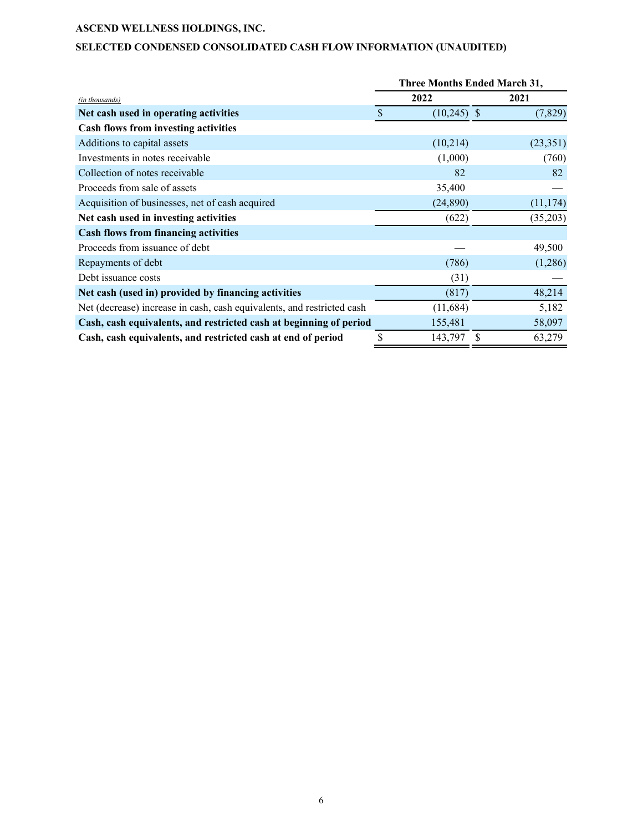## **SELECTED CONDENSED CONSOLIDATED CASH FLOW INFORMATION (UNAUDITED)**

|                                                                        | Three Months Ended March 31, |             |  |  |
|------------------------------------------------------------------------|------------------------------|-------------|--|--|
| (in thousands)                                                         | 2022                         | 2021        |  |  |
| Net cash used in operating activities                                  | \$<br>$(10,245)$ \$          | (7, 829)    |  |  |
| <b>Cash flows from investing activities</b>                            |                              |             |  |  |
| Additions to capital assets                                            | (10,214)                     | (23,351)    |  |  |
| Investments in notes receivable                                        | (1,000)                      | (760)       |  |  |
| Collection of notes receivable                                         | 82                           | 82          |  |  |
| Proceeds from sale of assets                                           | 35,400                       |             |  |  |
| Acquisition of businesses, net of cash acquired                        | (24,890)                     | (11, 174)   |  |  |
| Net cash used in investing activities                                  | (622)                        | (35,203)    |  |  |
| <b>Cash flows from financing activities</b>                            |                              |             |  |  |
| Proceeds from issuance of debt                                         |                              | 49,500      |  |  |
| Repayments of debt                                                     | (786)                        | (1,286)     |  |  |
| Debt issuance costs                                                    | (31)                         |             |  |  |
| Net cash (used in) provided by financing activities                    | (817)                        | 48,214      |  |  |
| Net (decrease) increase in cash, cash equivalents, and restricted cash | (11, 684)                    | 5,182       |  |  |
| Cash, cash equivalents, and restricted cash at beginning of period     | 155,481                      | 58,097      |  |  |
| Cash, cash equivalents, and restricted cash at end of period           | 143,797<br>\$                | 63,279<br>S |  |  |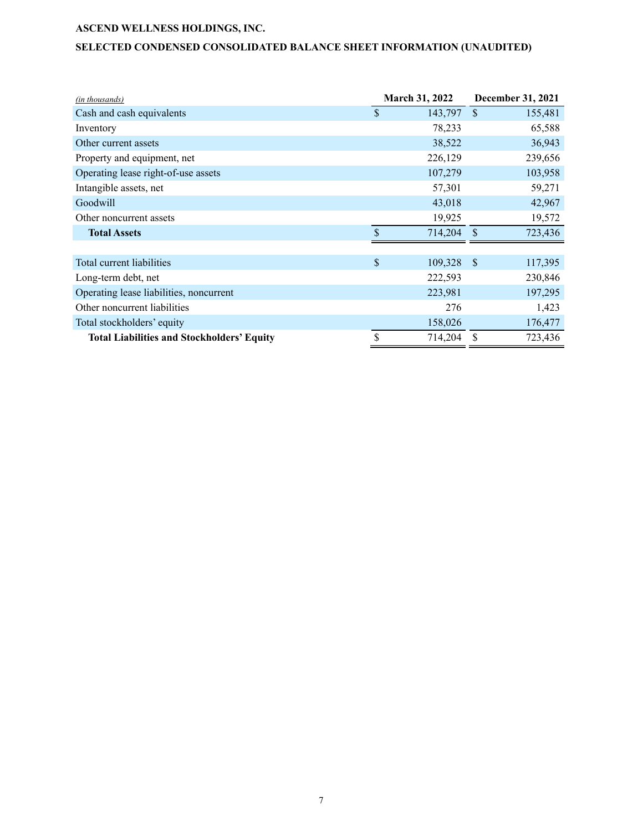## **SELECTED CONDENSED CONSOLIDATED BALANCE SHEET INFORMATION (UNAUDITED)**

| (in thousands)                                    | March 31, 2022 |         | <b>December 31, 2021</b> |         |
|---------------------------------------------------|----------------|---------|--------------------------|---------|
| Cash and cash equivalents                         | \$             | 143,797 | $\mathcal{S}$            | 155,481 |
| Inventory                                         |                | 78,233  |                          | 65,588  |
| Other current assets                              |                | 38,522  |                          | 36,943  |
| Property and equipment, net                       |                | 226,129 |                          | 239,656 |
| Operating lease right-of-use assets               |                | 107,279 |                          | 103,958 |
| Intangible assets, net                            |                | 57,301  |                          | 59,271  |
| Goodwill                                          |                | 43,018  |                          | 42,967  |
| Other noncurrent assets                           |                | 19,925  |                          | 19,572  |
| <b>Total Assets</b>                               | \$             | 714,204 | <sup>\$</sup>            | 723,436 |
|                                                   |                |         |                          |         |
| Total current liabilities                         | \$             | 109,328 | <sup>\$</sup>            | 117,395 |
| Long-term debt, net                               |                | 222,593 |                          | 230,846 |
| Operating lease liabilities, noncurrent           |                | 223,981 |                          | 197,295 |
| Other noncurrent liabilities                      |                | 276     |                          | 1,423   |
| Total stockholders' equity                        |                | 158,026 |                          | 176,477 |
| <b>Total Liabilities and Stockholders' Equity</b> | \$             | 714,204 | \$                       | 723,436 |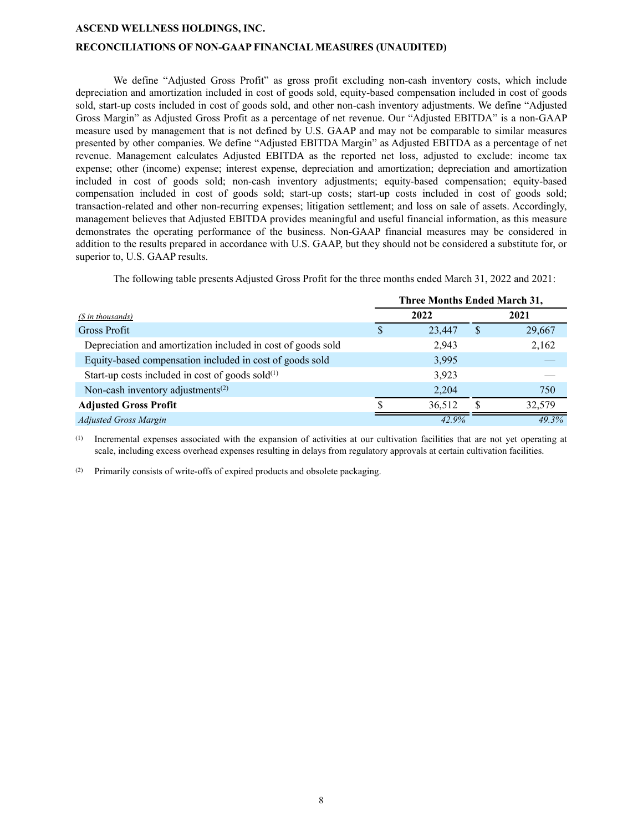#### **RECONCILIATIONS OF NON-GAAP FINANCIAL MEASURES (UNAUDITED)**

We define "Adjusted Gross Profit" as gross profit excluding non-cash inventory costs, which include depreciation and amortization included in cost of goods sold, equity-based compensation included in cost of goods sold, start-up costs included in cost of goods sold, and other non-cash inventory adjustments. We define "Adjusted Gross Margin" as Adjusted Gross Profit as a percentage of net revenue. Our "Adjusted EBITDA" is a non-GAAP measure used by management that is not defined by U.S. GAAP and may not be comparable to similar measures presented by other companies. We define "Adjusted EBITDA Margin" as Adjusted EBITDA as a percentage of net revenue. Management calculates Adjusted EBITDA as the reported net loss, adjusted to exclude: income tax expense; other (income) expense; interest expense, depreciation and amortization; depreciation and amortization included in cost of goods sold; non-cash inventory adjustments; equity-based compensation; equity-based compensation included in cost of goods sold; start-up costs; start-up costs included in cost of goods sold; transaction-related and other non-recurring expenses; litigation settlement; and loss on sale of assets. Accordingly, management believes that Adjusted EBITDA provides meaningful and useful financial information, as this measure demonstrates the operating performance of the business. Non-GAAP financial measures may be considered in addition to the results prepared in accordance with U.S. GAAP, but they should not be considered a substitute for, or superior to, U.S. GAAP results.

The following table presents Adjusted Gross Profit for the three months ended March 31, 2022 and 2021:

|                                                              | Three Months Ended March 31, |        |          |        |  |
|--------------------------------------------------------------|------------------------------|--------|----------|--------|--|
| $(S$ in thousands)                                           |                              | 2022   |          | 2021   |  |
| Gross Profit                                                 |                              | 23,447 | <b>S</b> | 29,667 |  |
| Depreciation and amortization included in cost of goods sold |                              | 2,943  |          | 2,162  |  |
| Equity-based compensation included in cost of goods sold     |                              | 3,995  |          |        |  |
| Start-up costs included in cost of goods sold $(1)$          |                              | 3,923  |          |        |  |
| Non-cash inventory adjustments <sup>(2)</sup>                |                              | 2,204  |          | 750    |  |
| <b>Adjusted Gross Profit</b>                                 |                              | 36,512 | -S       | 32,579 |  |
| <b>Adjusted Gross Margin</b>                                 |                              | 42.9%  |          | 49.3%  |  |

(1) Incremental expenses associated with the expansion of activities at our cultivation facilities that are not yet operating at scale, including excess overhead expenses resulting in delays from regulatory approvals at certain cultivation facilities.

(2) Primarily consists of write-offs of expired products and obsolete packaging.